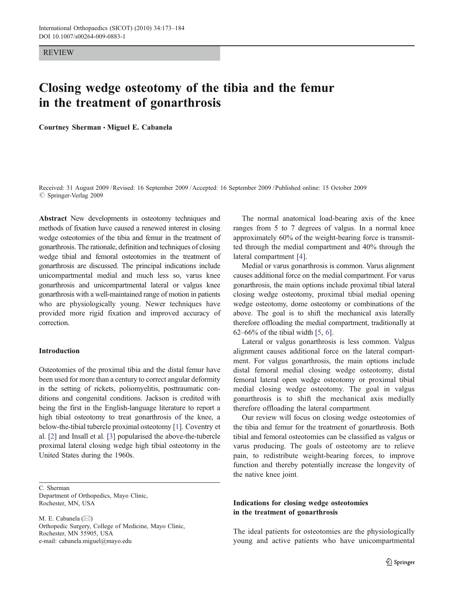#### REVIEW

# Closing wedge osteotomy of the tibia and the femur in the treatment of gonarthrosis

Courtney Sherman *&* Miguel E. Cabanela

Received: 31 August 2009 /Revised: 16 September 2009 /Accepted: 16 September 2009 / Published online: 15 October 2009  $\oslash$  Springer-Verlag 2009

Abstract New developments in osteotomy techniques and methods of fixation have caused a renewed interest in closing wedge osteotomies of the tibia and femur in the treatment of gonarthrosis. The rationale, definition and techniques of closing wedge tibial and femoral osteotomies in the treatment of gonarthrosis are discussed. The principal indications include unicompartmental medial and much less so, varus knee gonarthrosis and unicompartmental lateral or valgus knee gonarthrosis with a well-maintained range of motion in patients who are physiologically young. Newer techniques have provided more rigid fixation and improved accuracy of correction.

#### Introduction

Osteotomies of the proximal tibia and the distal femur have been used for more than a century to correct angular deformity in the setting of rickets, poliomyelitis, posttraumatic conditions and congenital conditions. Jackson is credited with being the first in the English-language literature to report a high tibial osteotomy to treat gonarthrosis of the knee, a below-the-tibial tubercle proximal osteotomy [\[1](#page-10-0)]. Coventry et al. [\[2](#page-10-0)] and Insall et al. [\[3](#page-10-0)] popularised the above-the-tubercle proximal lateral closing wedge high tibial osteotomy in the United States during the 1960s.

C. Sherman Department of Orthopedics, Mayo Clinic, Rochester, MN, USA

M. E. Cabanela ( $\boxtimes$ ) Orthopedic Surgery, College of Medicine, Mayo Clinic, Rochester, MN 55905, USA e-mail: cabanela.miguel@mayo.edu

The normal anatomical load-bearing axis of the knee ranges from 5 to 7 degrees of valgus. In a normal knee approximately 60% of the weight-bearing force is transmitted through the medial compartment and 40% through the lateral compartment [\[4](#page-10-0)].

Medial or varus gonarthrosis is common. Varus alignment causes additional force on the medial compartment. For varus gonarthrosis, the main options include proximal tibial lateral closing wedge osteotomy, proximal tibial medial opening wedge osteotomy, dome osteotomy or combinations of the above. The goal is to shift the mechanical axis laterally therefore offloading the medial compartment, traditionally at [6](#page-10-0)2–66% of the tibial width  $[5, 6]$  $[5, 6]$  $[5, 6]$ .

Lateral or valgus gonarthrosis is less common. Valgus alignment causes additional force on the lateral compartment. For valgus gonarthrosis, the main options include distal femoral medial closing wedge osteotomy, distal femoral lateral open wedge osteotomy or proximal tibial medial closing wedge osteotomy. The goal in valgus gonarthrosis is to shift the mechanical axis medially therefore offloading the lateral compartment.

Our review will focus on closing wedge osteotomies of the tibia and femur for the treatment of gonarthrosis. Both tibial and femoral osteotomies can be classified as valgus or varus producing. The goals of osteotomy are to relieve pain, to redistribute weight-bearing forces, to improve function and thereby potentially increase the longevity of the native knee joint.

# Indications for closing wedge osteotomies in the treatment of gonarthrosis

The ideal patients for osteotomies are the physiologically young and active patients who have unicompartmental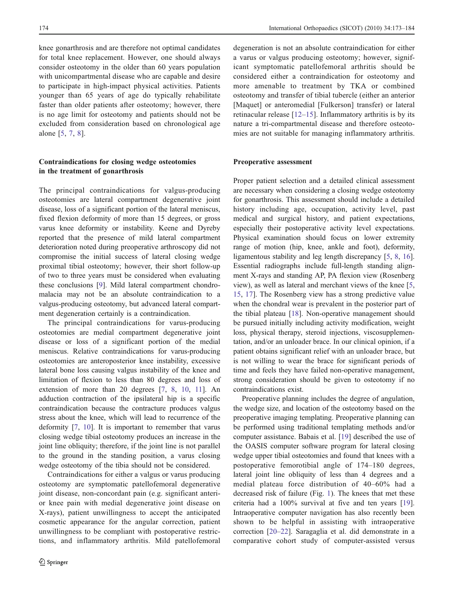knee gonarthrosis and are therefore not optimal candidates for total knee replacement. However, one should always consider osteotomy in the older than 60 years population with unicompartmental disease who are capable and desire to participate in high-impact physical activities. Patients younger than 65 years of age do typically rehabilitate faster than older patients after osteotomy; however, there is no age limit for osteotomy and patients should not be excluded from consideration based on chronological age alone [[5,](#page-10-0) [7,](#page-10-0) [8\]](#page-10-0).

# Contraindications for closing wedge osteotomies in the treatment of gonarthrosis

The principal contraindications for valgus-producing osteotomies are lateral compartment degenerative joint disease, loss of a significant portion of the lateral meniscus, fixed flexion deformity of more than 15 degrees, or gross varus knee deformity or instability. Keene and Dyreby reported that the presence of mild lateral compartment deterioration noted during preoperative arthroscopy did not compromise the initial success of lateral closing wedge proximal tibial osteotomy; however, their short follow-up of two to three years must be considered when evaluating these conclusions [[9\]](#page-10-0). Mild lateral compartment chondromalacia may not be an absolute contraindication to a valgus-producing osteotomy, but advanced lateral compartment degeneration certainly is a contraindication.

The principal contraindications for varus-producing osteotomies are medial compartment degenerative joint disease or loss of a significant portion of the medial meniscus. Relative contraindications for varus-producing osteotomies are anteroposterior knee instability, excessive lateral bone loss causing valgus instability of the knee and limitation of flexion to less than 80 degrees and loss of extension of more than 20 degrees [[7,](#page-10-0) [8,](#page-10-0) [10,](#page-10-0) [11\]](#page-10-0). An adduction contraction of the ipsilateral hip is a specific contraindication because the contracture produces valgus stress about the knee, which will lead to recurrence of the deformity [\[7](#page-10-0), [10](#page-10-0)]. It is important to remember that varus closing wedge tibial osteotomy produces an increase in the joint line obliquity; therefore, if the joint line is not parallel to the ground in the standing position, a varus closing wedge osteotomy of the tibia should not be considered.

Contraindications for either a valgus or varus producing osteotomy are symptomatic patellofemoral degenerative joint disease, non-concordant pain (e.g. significant anterior knee pain with medial degenerative joint disease on X-rays), patient unwillingness to accept the anticipated cosmetic appearance for the angular correction, patient unwillingness to be compliant with postoperative restrictions, and inflammatory arthritis. Mild patellofemoral

degeneration is not an absolute contraindication for either a varus or valgus producing osteotomy; however, significant symptomatic patellofemoral arthritis should be considered either a contraindication for osteotomy and more amenable to treatment by TKA or combined osteotomy and transfer of tibial tubercle (either an anterior [Maquet] or anteromedial [Fulkerson] transfer) or lateral retinacular release [[12](#page-10-0)–[15](#page-10-0)]. Inflammatory arthritis is by its nature a tri-compartmental disease and therefore osteotomies are not suitable for managing inflammatory arthritis.

# Preoperative assessment

Proper patient selection and a detailed clinical assessment are necessary when considering a closing wedge osteotomy for gonarthrosis. This assessment should include a detailed history including age, occupation, activity level, past medical and surgical history, and patient expectations, especially their postoperative activity level expectations. Physical examination should focus on lower extremity range of motion (hip, knee, ankle and foot), deformity, ligamentous stability and leg length discrepancy [\[5](#page-10-0), [8,](#page-10-0) [16\]](#page-10-0). Essential radiographs include full-length standing alignment X-rays and standing AP, PA flexion view (Rosenberg view), as well as lateral and merchant views of the knee [[5,](#page-10-0) [15](#page-10-0), [17\]](#page-10-0). The Rosenberg view has a strong predictive value when the chondral wear is prevalent in the posterior part of the tibial plateau [\[18](#page-10-0)]. Non-operative management should be pursued initially including activity modification, weight loss, physical therapy, steroid injections, viscosupplementation, and/or an unloader brace. In our clinical opinion, if a patient obtains significant relief with an unloader brace, but is not willing to wear the brace for significant periods of time and feels they have failed non-operative management, strong consideration should be given to osteotomy if no contraindications exist.

Preoperative planning includes the degree of angulation, the wedge size, and location of the osteotomy based on the preoperative imaging templating. Preoperative planning can be performed using traditional templating methods and/or computer assistance. Babais et al. [\[19](#page-10-0)] described the use of the OASIS computer software program for lateral closing wedge upper tibial osteotomies and found that knees with a postoperative femorotibial angle of 174–180 degrees, lateral joint line obliquity of less than 4 degrees and a medial plateau force distribution of 40–60% had a decreased risk of failure (Fig. [1](#page-2-0)). The knees that met these criteria had a 100% survival at five and ten years [[19\]](#page-10-0). Intraoperative computer navigation has also recently been shown to be helpful in assisting with intraoperative correction [\[20](#page-10-0)–[22](#page-10-0)]. Saragaglia et al. did demonstrate in a comparative cohort study of computer-assisted versus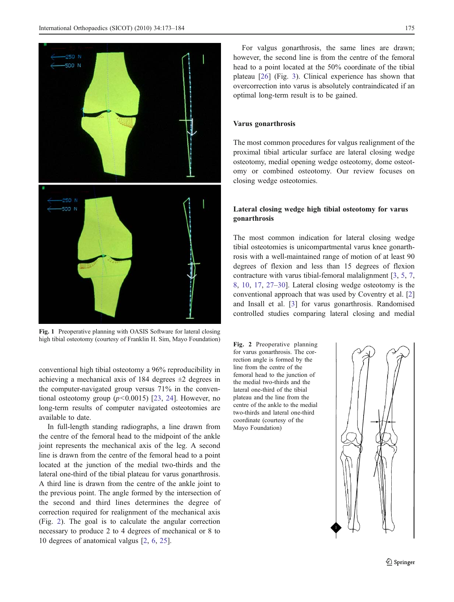<span id="page-2-0"></span>

Fig. 1 Preoperative planning with OASIS Software for lateral closing high tibial osteotomy (courtesy of Franklin H. Sim, Mayo Foundation) Fig. 2 Preoperative planning

conventional high tibial osteotomy a 96% reproducibility in achieving a mechanical axis of 184 degrees  $\pm 2$  degrees in the computer-navigated group versus 71% in the conventional osteotomy group  $(p<0.0015)$  [[23,](#page-10-0) [24\]](#page-10-0). However, no long-term results of computer navigated osteotomies are available to date.

In full-length standing radiographs, a line drawn from the centre of the femoral head to the midpoint of the ankle joint represents the mechanical axis of the leg. A second line is drawn from the centre of the femoral head to a point located at the junction of the medial two-thirds and the lateral one-third of the tibial plateau for varus gonarthrosis. A third line is drawn from the centre of the ankle joint to the previous point. The angle formed by the intersection of the second and third lines determines the degree of correction required for realignment of the mechanical axis (Fig. 2). The goal is to calculate the angular correction necessary to produce 2 to 4 degrees of mechanical or 8 to 10 degrees of anatomical valgus [\[2](#page-10-0), [6,](#page-10-0) [25\]](#page-10-0).

For valgus gonarthrosis, the same lines are drawn; however, the second line is from the centre of the femoral head to a point located at the 50% coordinate of the tibial plateau [\[26](#page-10-0)] (Fig. [3](#page-3-0)). Clinical experience has shown that overcorrection into varus is absolutely contraindicated if an optimal long-term result is to be gained.

#### Varus gonarthrosis

The most common procedures for valgus realignment of the proximal tibial articular surface are lateral closing wedge osteotomy, medial opening wedge osteotomy, dome osteotomy or combined osteotomy. Our review focuses on closing wedge osteotomies.

# Lateral closing wedge high tibial osteotomy for varus gonarthrosis

The most common indication for lateral closing wedge tibial osteotomies is unicompartmental varus knee gonarthrosis with a well-maintained range of motion of at least 90 degrees of flexion and less than 15 degrees of flexion contracture with varus tibial-femoral malalignment [[3,](#page-10-0) [5](#page-10-0), [7,](#page-10-0) [8](#page-10-0), [10](#page-10-0), [17](#page-10-0), [27](#page-10-0)–[30\]](#page-10-0). Lateral closing wedge osteotomy is the conventional approach that was used by Coventry et al. [\[2](#page-10-0)] and Insall et al. [\[3](#page-10-0)] for varus gonarthrosis. Randomised controlled studies comparing lateral closing and medial

for varus gonarthrosis. The correction angle is formed by the line from the centre of the femoral head to the junction of the medial two-thirds and the lateral one-third of the tibial plateau and the line from the centre of the ankle to the medial two-thirds and lateral one-third coordinate (courtesy of the Mayo Foundation)

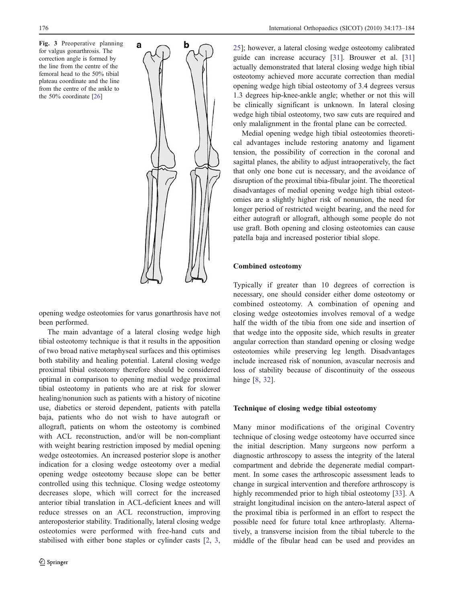<span id="page-3-0"></span>Fig. 3 Preoperative planning for valgus gonarthrosis. The correction angle is formed by the line from the centre of the femoral head to the 50% tibial plateau coordinate and the line from the centre of the ankle to the 50% coordinate [\[26\]](#page-10-0)



opening wedge osteotomies for varus gonarthrosis have not been performed.

The main advantage of a lateral closing wedge high tibial osteotomy technique is that it results in the apposition of two broad native metaphyseal surfaces and this optimises both stability and healing potential. Lateral closing wedge proximal tibial osteotomy therefore should be considered optimal in comparison to opening medial wedge proximal tibial osteotomy in patients who are at risk for slower healing/nonunion such as patients with a history of nicotine use, diabetics or steroid dependent, patients with patella baja, patients who do not wish to have autograft or allograft, patients on whom the osteotomy is combined with ACL reconstruction, and/or will be non-compliant with weight bearing restriction imposed by medial opening wedge osteotomies. An increased posterior slope is another indication for a closing wedge osteotomy over a medial opening wedge osteotomy because slope can be better controlled using this technique. Closing wedge osteotomy decreases slope, which will correct for the increased anterior tibial translation in ACL-deficient knees and will reduce stresses on an ACL reconstruction, improving anteroposterior stability. Traditionally, lateral closing wedge osteotomies were performed with free-hand cuts and stabilised with either bone staples or cylinder casts [\[2](#page-10-0), [3,](#page-10-0)

[25](#page-10-0)]; however, a lateral closing wedge osteotomy calibrated guide can increase accuracy [[31\]](#page-10-0). Brouwer et al. [\[31](#page-10-0)] actually demonstrated that lateral closing wedge high tibial osteotomy achieved more accurate correction than medial opening wedge high tibial osteotomy of 3.4 degrees versus 1.3 degrees hip-knee-ankle angle; whether or not this will be clinically significant is unknown. In lateral closing wedge high tibial osteotomy, two saw cuts are required and only malalignment in the frontal plane can be corrected.

Medial opening wedge high tibial osteotomies theoretical advantages include restoring anatomy and ligament tension, the possibility of correction in the coronal and sagittal planes, the ability to adjust intraoperatively, the fact that only one bone cut is necessary, and the avoidance of disruption of the proximal tibia-fibular joint. The theoretical disadvantages of medial opening wedge high tibial osteotomies are a slightly higher risk of nonunion, the need for longer period of restricted weight bearing, and the need for either autograft or allograft, although some people do not use graft. Both opening and closing osteotomies can cause patella baja and increased posterior tibial slope.

#### Combined osteotomy

Typically if greater than 10 degrees of correction is necessary, one should consider either dome osteotomy or combined osteotomy. A combination of opening and closing wedge osteotomies involves removal of a wedge half the width of the tibia from one side and insertion of that wedge into the opposite side, which results in greater angular correction than standard opening or closing wedge osteotomies while preserving leg length. Disadvantages include increased risk of nonunion, avascular necrosis and loss of stability because of discontinuity of the osseous hinge [[8,](#page-10-0) [32](#page-10-0)].

#### Technique of closing wedge tibial osteotomy

Many minor modifications of the original Coventry technique of closing wedge osteotomy have occurred since the initial description. Many surgeons now perform a diagnostic arthroscopy to assess the integrity of the lateral compartment and debride the degenerate medial compartment. In some cases the arthroscopic assessment leads to change in surgical intervention and therefore arthroscopy is highly recommended prior to high tibial osteotomy [\[33](#page-10-0)]. A straight longitudinal incision on the antero-lateral aspect of the proximal tibia is performed in an effort to respect the possible need for future total knee arthroplasty. Alternatively, a transverse incision from the tibial tubercle to the middle of the fibular head can be used and provides an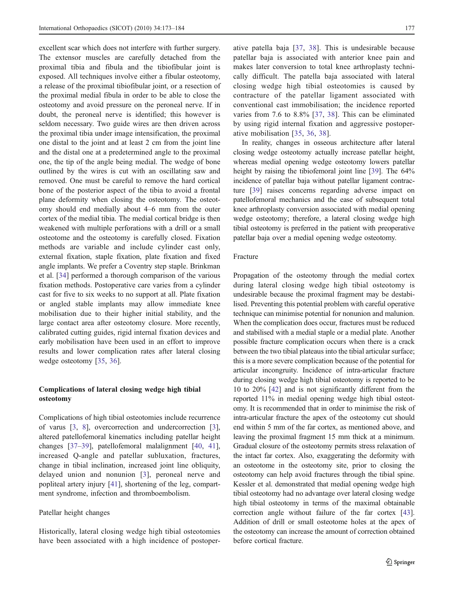excellent scar which does not interfere with further surgery. The extensor muscles are carefully detached from the proximal tibia and fibula and the tibiofibular joint is exposed. All techniques involve either a fibular osteotomy, a release of the proximal tibiofibular joint, or a resection of the proximal medial fibula in order to be able to close the osteotomy and avoid pressure on the peroneal nerve. If in doubt, the peroneal nerve is identified; this however is seldom necessary. Two guide wires are then driven across the proximal tibia under image intensification, the proximal one distal to the joint and at least 2 cm from the joint line and the distal one at a predetermined angle to the proximal one, the tip of the angle being medial. The wedge of bone outlined by the wires is cut with an oscillating saw and removed. One must be careful to remove the hard cortical bone of the posterior aspect of the tibia to avoid a frontal plane deformity when closing the osteotomy. The osteotomy should end medially about 4–6 mm from the outer cortex of the medial tibia. The medial cortical bridge is then weakened with multiple perforations with a drill or a small osteotome and the osteotomy is carefully closed. Fixation methods are variable and include cylinder cast only, external fixation, staple fixation, plate fixation and fixed angle implants. We prefer a Coventry step staple. Brinkman et al. [\[34](#page-10-0)] performed a thorough comparison of the various fixation methods. Postoperative care varies from a cylinder cast for five to six weeks to no support at all. Plate fixation or angled stable implants may allow immediate knee mobilisation due to their higher initial stability, and the large contact area after osteotomy closure. More recently, calibrated cutting guides, rigid internal fixation devices and early mobilisation have been used in an effort to improve results and lower complication rates after lateral closing wedge osteotomy [[35,](#page-10-0) [36\]](#page-10-0).

# Complications of lateral closing wedge high tibial osteotomy

Complications of high tibial osteotomies include recurrence of varus [[3,](#page-10-0) [8\]](#page-10-0), overcorrection and undercorrection [\[3](#page-10-0)], altered patellofemoral kinematics including patellar height changes [[37](#page-10-0)–[39\]](#page-11-0), patellofemoral malalignment [\[40](#page-11-0), [41](#page-11-0)], increased Q-angle and patellar subluxation, fractures, change in tibial inclination, increased joint line obliquity, delayed union and nonunion [\[3](#page-10-0)], peroneal nerve and popliteal artery injury [[41\]](#page-11-0), shortening of the leg, compartment syndrome, infection and thromboembolism.

#### Patellar height changes

Historically, lateral closing wedge high tibial osteotomies have been associated with a high incidence of postoper-

ative patella baja [[37,](#page-10-0) [38](#page-10-0)]. This is undesirable because patellar baja is associated with anterior knee pain and makes later conversion to total knee arthroplasty technically difficult. The patella baja associated with lateral closing wedge high tibial osteotomies is caused by contracture of the patellar ligament associated with conventional cast immobilisation; the incidence reported varies from 7.6 to 8.8% [[37](#page-10-0), [38\]](#page-10-0). This can be eliminated by using rigid internal fixation and aggressive postoperative mobilisation [\[35](#page-10-0), [36](#page-10-0), [38\]](#page-10-0).

In reality, changes in osseous architecture after lateral closing wedge osteotomy actually increase patellar height, whereas medial opening wedge osteotomy lowers patellar height by raising the tibiofemoral joint line [\[39\]](#page-11-0). The 64% incidence of patellar baja without patellar ligament contracture [[39\]](#page-11-0) raises concerns regarding adverse impact on patellofemoral mechanics and the ease of subsequent total knee arthroplasty conversion associated with medial opening wedge osteotomy; therefore, a lateral closing wedge high tibial osteotomy is preferred in the patient with preoperative patellar baja over a medial opening wedge osteotomy.

#### Fracture

Propagation of the osteotomy through the medial cortex during lateral closing wedge high tibial osteotomy is undesirable because the proximal fragment may be destabilised. Preventing this potential problem with careful operative technique can minimise potential for nonunion and malunion. When the complication does occur, fractures must be reduced and stabilised with a medial staple or a medial plate. Another possible fracture complication occurs when there is a crack between the two tibial plateaus into the tibial articular surface; this is a more severe complication because of the potential for articular incongruity. Incidence of intra-articular fracture during closing wedge high tibial osteotomy is reported to be 10 to 20% [\[42\]](#page-11-0) and is not significantly different from the reported 11% in medial opening wedge high tibial osteotomy. It is recommended that in order to minimise the risk of intra-articular fracture the apex of the osteotomy cut should end within 5 mm of the far cortex, as mentioned above, and leaving the proximal fragment 15 mm thick at a minimum. Gradual closure of the osteotomy permits stress relaxation of the intact far cortex. Also, exaggerating the deformity with an osteotome in the osteotomy site, prior to closing the osteotomy can help avoid fractures through the tibial spine. Kessler et al. demonstrated that medial opening wedge high tibial osteotomy had no advantage over lateral closing wedge high tibial osteotomy in terms of the maximal obtainable correction angle without failure of the far cortex [[43\]](#page-11-0). Addition of drill or small osteotome holes at the apex of the osteotomy can increase the amount of correction obtained before cortical fracture.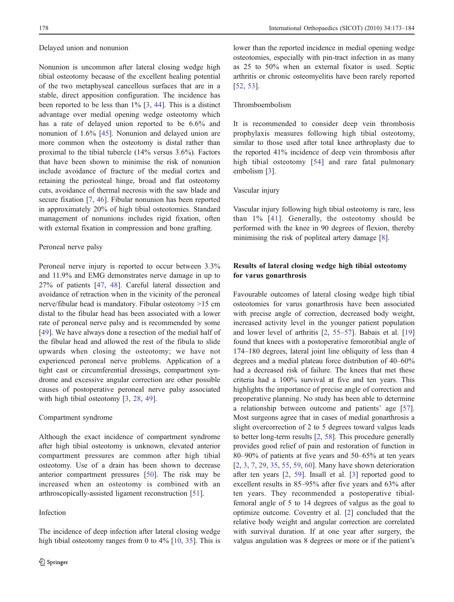#### Delayed union and nonunion

Nonunion is uncommon after lateral closing wedge high tibial osteotomy because of the excellent healing potential of the two metaphyseal cancellous surfaces that are in a stable, direct apposition configuration. The incidence has been reported to be less than 1% [[3,](#page-10-0) [44](#page-11-0)]. This is a distinct advantage over medial opening wedge osteotomy which has a rate of delayed union reported to be 6.6% and nonunion of 1.6% [\[45](#page-11-0)]. Nonunion and delayed union are more common when the osteotomy is distal rather than proximal to the tibial tubercle (14% versus 3.6%). Factors that have been shown to minimise the risk of nonunion include avoidance of fracture of the medial cortex and retaining the periosteal hinge, broad and flat osteotomy cuts, avoidance of thermal necrosis with the saw blade and secure fixation [\[7](#page-10-0), [46\]](#page-11-0). Fibular nonunion has been reported in approximately 20% of high tibial osteotomies. Standard management of nonunions includes rigid fixation, often with external fixation in compression and bone grafting.

#### Peroneal nerve palsy

Peroneal nerve injury is reported to occur between 3.3% and 11.9% and EMG demonstrates nerve damage in up to 27% of patients [[47,](#page-11-0) [48\]](#page-11-0). Careful lateral dissection and avoidance of retraction when in the vicinity of the peroneal nerve/fibular head is mandatory. Fibular osteotomy >15 cm distal to the fibular head has been associated with a lower rate of peroneal nerve palsy and is recommended by some [\[49](#page-11-0)]. We have always done a resection of the medial half of the fibular head and allowed the rest of the fibula to slide upwards when closing the osteotomy; we have not experienced peroneal nerve problems. Application of a tight cast or circumferential dressings, compartment syndrome and excessive angular correction are other possible causes of postoperative peroneal nerve palsy associated with high tibial osteotomy [\[3](#page-10-0), [28,](#page-10-0) [49\]](#page-11-0).

#### Compartment syndrome

Although the exact incidence of compartment syndrome after high tibial osteotomy is unknown, elevated anterior compartment pressures are common after high tibial osteotomy. Use of a drain has been shown to decrease anterior compartment pressures [\[50](#page-11-0)]. The risk may be increased when an osteotomy is combined with an arthroscopically-assisted ligament reconstruction [[51](#page-11-0)].

#### Infection

lower than the reported incidence in medial opening wedge osteotomies, especially with pin-tract infection in as many as 25 to 50% when an external fixator is used. Septic arthritis or chronic osteomyelitis have been rarely reported [\[52](#page-11-0), [53](#page-11-0)].

## Thromboembolism

It is recommended to consider deep vein thrombosis prophylaxis measures following high tibial osteotomy, similar to those used after total knee arthroplasty due to the reported 41% incidence of deep vein thrombosis after high tibial osteotomy [\[54\]](#page-11-0) and rare fatal pulmonary embolism [[3\]](#page-10-0).

#### Vascular injury

Vascular injury following high tibial osteotomy is rare, less than 1% [[41\]](#page-11-0). Generally, the osteotomy should be performed with the knee in 90 degrees of flexion, thereby minimising the risk of popliteal artery damage [[8\]](#page-10-0).

# Results of lateral closing wedge high tibial osteotomy for varus gonarthrosis

Favourable outcomes of lateral closing wedge high tibial osteotomies for varus gonarthrosis have been associated with precise angle of correction, decreased body weight, increased activity level in the younger patient population and lower level of arthritis [[2](#page-10-0), [55](#page-11-0)–[57\]](#page-11-0). Babais et al. [\[19](#page-10-0)] found that knees with a postoperative femorotibial angle of 174–180 degrees, lateral joint line obliquity of less than 4 degrees and a medial plateau force distribution of 40–60% had a decreased risk of failure. The knees that met these criteria had a 100% survival at five and ten years. This highlights the importance of precise angle of correction and preoperative planning. No study has been able to determine a relationship between outcome and patients' age [[57\]](#page-11-0). Most surgeons agree that in cases of medial gonarthrosis a slight overcorrection of 2 to 5 degrees toward valgus leads to better long-term results [[2,](#page-10-0) [58](#page-11-0)]. This procedure generally provides good relief of pain and restoration of function in 80–90% of patients at five years and 50–65% at ten years [\[2](#page-10-0), [3](#page-10-0), [7,](#page-10-0) [29,](#page-10-0) [35,](#page-10-0) [55,](#page-11-0) [59,](#page-11-0) [60\]](#page-11-0). Many have shown deterioration after ten years [[2,](#page-10-0) [59\]](#page-11-0). Insall et al. [[3\]](#page-10-0) reported good to excellent results in 85–95% after five years and 63% after ten years. They recommended a postoperative tibialfemoral angle of 5 to 14 degrees of valgus as the goal to optimize outcome. Coventry et al. [[2\]](#page-10-0) concluded that the relative body weight and angular correction are correlated with survival duration. If at one year after surgery, the valgus angulation was 8 degrees or more or if the patient's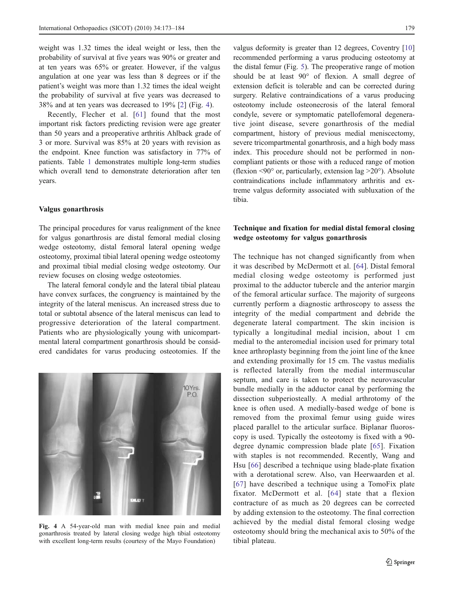weight was 1.32 times the ideal weight or less, then the probability of survival at five years was 90% or greater and at ten years was 65% or greater. However, if the valgus angulation at one year was less than 8 degrees or if the patient's weight was more than 1.32 times the ideal weight the probability of survival at five years was decreased to 38% and at ten years was decreased to 19% [\[2](#page-10-0)] (Fig. 4).

Recently, Flecher et al. [[61](#page-11-0)] found that the most important risk factors predicting revision were age greater than 50 years and a preoperative arthritis Ahlback grade of 3 or more. Survival was 85% at 20 years with revision as the endpoint. Knee function was satisfactory in 77% of patients. Table [1](#page-7-0) demonstrates multiple long-term studies which overall tend to demonstrate deterioration after ten years.

# Valgus gonarthrosis

The principal procedures for varus realignment of the knee for valgus gonarthrosis are distal femoral medial closing wedge osteotomy, distal femoral lateral opening wedge osteotomy, proximal tibial lateral opening wedge osteotomy and proximal tibial medial closing wedge osteotomy. Our review focuses on closing wedge osteotomies.

The lateral femoral condyle and the lateral tibial plateau have convex surfaces, the congruency is maintained by the integrity of the lateral meniscus. An increased stress due to total or subtotal absence of the lateral meniscus can lead to progressive deterioration of the lateral compartment. Patients who are physiologically young with unicompartmental lateral compartment gonarthrosis should be considered candidates for varus producing osteotomies. If the



Fig. 4 A 54-year-old man with medial knee pain and medial gonarthrosis treated by lateral closing wedge high tibial osteotomy with excellent long-term results (courtesy of the Mayo Foundation)

valgus deformity is greater than 12 degrees, Coventry [\[10](#page-10-0)] recommended performing a varus producing osteotomy at the distal femur (Fig. [5\)](#page-7-0). The preoperative range of motion should be at least 90° of flexion. A small degree of extension deficit is tolerable and can be corrected during surgery. Relative contraindications of a varus producing osteotomy include osteonecrosis of the lateral femoral condyle, severe or symptomatic patellofemoral degenerative joint disease, severe gonarthrosis of the medial compartment, history of previous medial meniscectomy, severe tricompartmental gonarthrosis, and a high body mass index. This procedure should not be performed in noncompliant patients or those with a reduced range of motion (flexion  $\leq 90^\circ$  or, particularly, extension lag  $\geq 20^\circ$ ). Absolute contraindications include inflammatory arthritis and extreme valgus deformity associated with subluxation of the tibia.

## Technique and fixation for medial distal femoral closing wedge osteotomy for valgus gonarthrosis

The technique has not changed significantly from when it was described by McDermott et al. [\[64\]](#page-11-0). Distal femoral medial closing wedge osteotomy is performed just proximal to the adductor tubercle and the anterior margin of the femoral articular surface. The majority of surgeons currently perform a diagnostic arthroscopy to assess the integrity of the medial compartment and debride the degenerate lateral compartment. The skin incision is typically a longitudinal medial incision, about 1 cm medial to the anteromedial incision used for primary total knee arthroplasty beginning from the joint line of the knee and extending proximally for 15 cm. The vastus medialis is reflected laterally from the medial intermuscular septum, and care is taken to protect the neurovascular bundle medially in the adductor canal by performing the dissection subperiosteally. A medial arthrotomy of the knee is often used. A medially-based wedge of bone is removed from the proximal femur using guide wires placed parallel to the articular surface. Biplanar fluoroscopy is used. Typically the osteotomy is fixed with a 90 degree dynamic compression blade plate [\[65\]](#page-11-0). Fixation with staples is not recommended. Recently, Wang and Hsu [[66](#page-11-0)] described a technique using blade-plate fixation with a derotational screw. Also, van Heerwaarden et al. [\[67\]](#page-11-0) have described a technique using a TomoFix plate fixator. McDermott et al. [[64](#page-11-0)] state that a flexion contracture of as much as 20 degrees can be corrected by adding extension to the osteotomy. The final correction achieved by the medial distal femoral closing wedge osteotomy should bring the mechanical axis to 50% of the tibial plateau.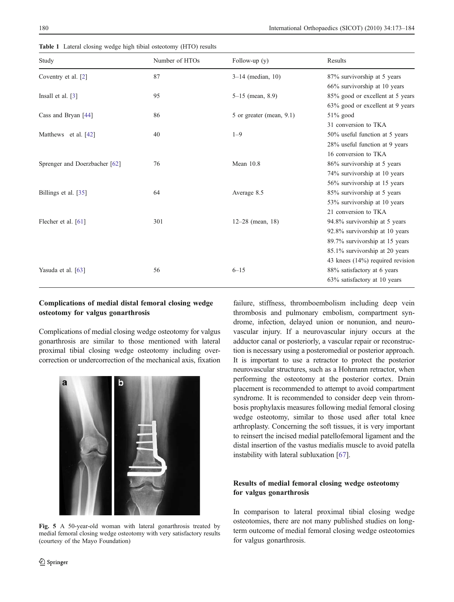<span id="page-7-0"></span>Table 1 Lateral closing wedge high tibial osteotomy (HTO) results

| Study                         | Number of HTOs | Follow-up $(y)$          | Results                             |
|-------------------------------|----------------|--------------------------|-------------------------------------|
| Coventry et al. [2]           | 87             | $3-14$ (median, 10)      | 87% survivorship at 5 years         |
|                               |                |                          | $66\%$ survivorship at 10 years     |
| Insall et al. $[3]$           | 95             | $5-15$ (mean, 8.9)       | 85% good or excellent at 5 years    |
|                               |                |                          | 63% good or excellent at 9 years    |
| Cass and Bryan [44]           | 86             | 5 or greater (mean, 9.1) | $51\%$ good                         |
|                               |                |                          | 31 conversion to TKA                |
| Matthews et al. [42]          | 40             | $1 - 9$                  | 50% useful function at 5 years      |
|                               |                |                          | 28% useful function at 9 years      |
|                               |                |                          | 16 conversion to TKA                |
| Sprenger and Doerzbacher [62] | 76             | Mean $10.8$              | 86% survivorship at 5 years         |
|                               |                |                          | 74% survivorship at 10 years        |
|                               |                |                          | 56% survivorship at 15 years        |
| Billings et al. [35]          | 64             | Average 8.5              | 85% survivorship at 5 years         |
|                               |                |                          | 53% survivorship at 10 years        |
|                               |                |                          | 21 conversion to TKA                |
| Flecher et al. [61]           | 301            | $12 - 28$ (mean, 18)     | 94.8% survivorship at 5 years       |
|                               |                |                          | 92.8% survivorship at 10 years      |
|                               |                |                          | 89.7% survivorship at 15 years      |
|                               |                |                          | 85.1% survivorship at 20 years      |
|                               |                |                          | 43 knees $(14\%)$ required revision |
| Yasuda et al. [63]            | 56             | $6 - 15$                 | 88% satisfactory at 6 years         |
|                               |                |                          | 63% satisfactory at 10 years        |

# Complications of medial distal femoral closing wedge osteotomy for valgus gonarthrosis

Complications of medial closing wedge osteotomy for valgus gonarthrosis are similar to those mentioned with lateral proximal tibial closing wedge osteotomy including overcorrection or undercorrection of the mechanical axis, fixation



Fig. 5 A 50-year-old woman with lateral gonarthrosis treated by medial femoral closing wedge osteotomy with very satisfactory results (courtesy of the Mayo Foundation)

failure, stiffness, thromboembolism including deep vein thrombosis and pulmonary embolism, compartment syndrome, infection, delayed union or nonunion, and neurovascular injury. If a neurovascular injury occurs at the adductor canal or posteriorly, a vascular repair or reconstruction is necessary using a posteromedial or posterior approach. It is important to use a retractor to protect the posterior neurovascular structures, such as a Hohmann retractor, when performing the osteotomy at the posterior cortex. Drain placement is recommended to attempt to avoid compartment syndrome. It is recommended to consider deep vein thrombosis prophylaxis measures following medial femoral closing wedge osteotomy, similar to those used after total knee arthroplasty. Concerning the soft tissues, it is very important to reinsert the incised medial patellofemoral ligament and the distal insertion of the vastus medialis muscle to avoid patella instability with lateral subluxation [\[67](#page-11-0)].

# Results of medial femoral closing wedge osteotomy for valgus gonarthrosis

In comparison to lateral proximal tibial closing wedge osteotomies, there are not many published studies on longterm outcome of medial femoral closing wedge osteotomies for valgus gonarthrosis.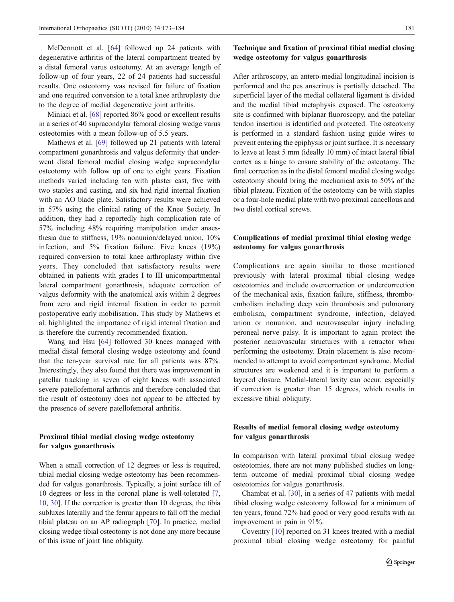McDermott et al. [[64\]](#page-11-0) followed up 24 patients with degenerative arthritis of the lateral compartment treated by a distal femoral varus osteotomy. At an average length of follow-up of four years, 22 of 24 patients had successful results. One osteotomy was revised for failure of fixation and one required conversion to a total knee arthroplasty due to the degree of medial degenerative joint arthritis.

Miniaci et al. [\[68](#page-11-0)] reported 86% good or excellent results in a series of 40 supracondylar femoral closing wedge varus osteotomies with a mean follow-up of 5.5 years.

Mathews et al. [\[69](#page-11-0)] followed up 21 patients with lateral compartment gonarthrosis and valgus deformity that underwent distal femoral medial closing wedge supracondylar osteotomy with follow up of one to eight years. Fixation methods varied including ten with plaster cast, five with two staples and casting, and six had rigid internal fixation with an AO blade plate. Satisfactory results were achieved in 57% using the clinical rating of the Knee Society. In addition, they had a reportedly high complication rate of 57% including 48% requiring manipulation under anaesthesia due to stiffness, 19% nonunion/delayed union, 10% infection, and 5% fixation failure. Five knees (19%) required conversion to total knee arthroplasty within five years. They concluded that satisfactory results were obtained in patients with grades I to III unicompartmental lateral compartment gonarthrosis, adequate correction of valgus deformity with the anatomical axis within 2 degrees from zero and rigid internal fixation in order to permit postoperative early mobilisation. This study by Mathews et al. highlighted the importance of rigid internal fixation and is therefore the currently recommended fixation.

Wang and Hsu [\[64](#page-11-0)] followed 30 knees managed with medial distal femoral closing wedge osteotomy and found that the ten-year survival rate for all patients was 87%. Interestingly, they also found that there was improvement in patellar tracking in seven of eight knees with associated severe patellofemoral arthritis and therefore concluded that the result of osteotomy does not appear to be affected by the presence of severe patellofemoral arthritis.

## Proximal tibial medial closing wedge osteotomy for valgus gonarthrosis

When a small correction of 12 degrees or less is required, tibial medial closing wedge osteotomy has been recommended for valgus gonarthrosis. Typically, a joint surface tilt of 10 degrees or less in the coronal plane is well-tolerated [[7,](#page-10-0) [10,](#page-10-0) [30](#page-10-0)]. If the correction is greater than 10 degrees, the tibia subluxes laterally and the femur appears to fall off the medial tibial plateau on an AP radiograph [\[70\]](#page-11-0). In practice, medial closing wedge tibial osteotomy is not done any more because of this issue of joint line obliquity.

# Technique and fixation of proximal tibial medial closing wedge osteotomy for valgus gonarthrosis

After arthroscopy, an antero-medial longitudinal incision is performed and the pes anserinus is partially detached. The superficial layer of the medial collateral ligament is divided and the medial tibial metaphysis exposed. The osteotomy site is confirmed with biplanar fluoroscopy, and the patellar tendon insertion is identified and protected. The osteotomy is performed in a standard fashion using guide wires to prevent entering the epiphysis or joint surface. It is necessary to leave at least 5 mm (ideally 10 mm) of intact lateral tibial cortex as a hinge to ensure stability of the osteotomy. The final correction as in the distal femoral medial closing wedge osteotomy should bring the mechanical axis to 50% of the tibial plateau. Fixation of the osteotomy can be with staples or a four-hole medial plate with two proximal cancellous and two distal cortical screws.

# Complications of medial proximal tibial closing wedge osteotomy for valgus gonarthrosis

Complications are again similar to those mentioned previously with lateral proximal tibial closing wedge osteotomies and include overcorrection or undercorrection of the mechanical axis, fixation failure, stiffness, thromboembolism including deep vein thrombosis and pulmonary embolism, compartment syndrome, infection, delayed union or nonunion, and neurovascular injury including peroneal nerve palsy. It is important to again protect the posterior neurovascular structures with a retractor when performing the osteotomy. Drain placement is also recommended to attempt to avoid compartment syndrome. Medial structures are weakened and it is important to perform a layered closure. Medial-lateral laxity can occur, especially if correction is greater than 15 degrees, which results in excessive tibial obliquity.

# Results of medial femoral closing wedge osteotomy for valgus gonarthrosis

In comparison with lateral proximal tibial closing wedge osteotomies, there are not many published studies on longterm outcome of medial proximal tibial closing wedge osteotomies for valgus gonarthrosis.

Chambat et al. [\[30](#page-10-0)], in a series of 47 patients with medal tibial closing wedge osteotomy followed for a minimum of ten years, found 72% had good or very good results with an improvement in pain in 91%.

Coventry [\[10](#page-10-0)] reported on 31 knees treated with a medial proximal tibial closing wedge osteotomy for painful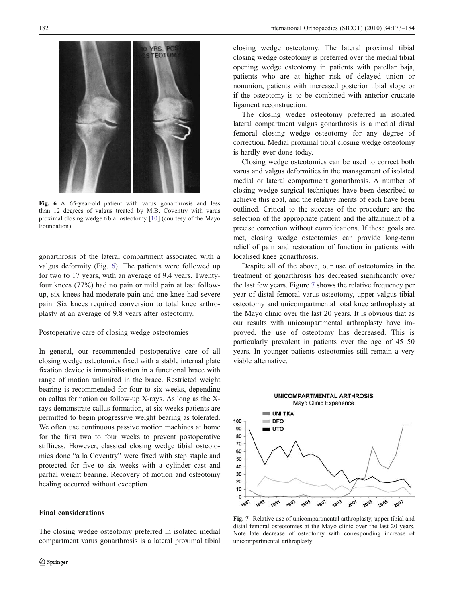

Fig. 6 A 65-year-old patient with varus gonarthrosis and less than 12 degrees of valgus treated by M.B. Coventry with varus proximal closing wedge tibial osteotomy [\[10\]](#page-10-0) (courtesy of the Mayo Foundation)

gonarthrosis of the lateral compartment associated with a valgus deformity (Fig. 6). The patients were followed up for two to 17 years, with an average of 9.4 years. Twentyfour knees (77%) had no pain or mild pain at last followup, six knees had moderate pain and one knee had severe pain. Six knees required conversion to total knee arthroplasty at an average of 9.8 years after osteotomy.

#### Postoperative care of closing wedge osteotomies

In general, our recommended postoperative care of all closing wedge osteotomies fixed with a stable internal plate fixation device is immobilisation in a functional brace with range of motion unlimited in the brace. Restricted weight bearing is recommended for four to six weeks, depending on callus formation on follow-up X-rays. As long as the Xrays demonstrate callus formation, at six weeks patients are permitted to begin progressive weight bearing as tolerated. We often use continuous passive motion machines at home for the first two to four weeks to prevent postoperative stiffness. However, classical closing wedge tibial osteotomies done "a la Coventry" were fixed with step staple and protected for five to six weeks with a cylinder cast and partial weight bearing. Recovery of motion and osteotomy healing occurred without exception.

#### Final considerations

The closing wedge osteotomy preferred in isolated medial compartment varus gonarthrosis is a lateral proximal tibial closing wedge osteotomy. The lateral proximal tibial closing wedge osteotomy is preferred over the medial tibial opening wedge osteotomy in patients with patellar baja, patients who are at higher risk of delayed union or nonunion, patients with increased posterior tibial slope or if the osteotomy is to be combined with anterior cruciate ligament reconstruction.

The closing wedge osteotomy preferred in isolated lateral compartment valgus gonarthrosis is a medial distal femoral closing wedge osteotomy for any degree of correction. Medial proximal tibial closing wedge osteotomy is hardly ever done today.

Closing wedge osteotomies can be used to correct both varus and valgus deformities in the management of isolated medial or lateral compartment gonarthrosis. A number of closing wedge surgical techniques have been described to achieve this goal, and the relative merits of each have been outlined. Critical to the success of the procedure are the selection of the appropriate patient and the attainment of a precise correction without complications. If these goals are met, closing wedge osteotomies can provide long-term relief of pain and restoration of function in patients with localised knee gonarthrosis.

Despite all of the above, our use of osteotomies in the treatment of gonarthrosis has decreased significantly over the last few years. Figure 7 shows the relative frequency per year of distal femoral varus osteotomy, upper valgus tibial osteotomy and unicompartmental total knee arthroplasty at the Mayo clinic over the last 20 years. It is obvious that as our results with unicompartmental arthroplasty have improved, the use of osteotomy has decreased. This is particularly prevalent in patients over the age of 45–50 years. In younger patients osteotomies still remain a very viable alternative.



Fig. 7 Relative use of unicompartmental arthroplasty, upper tibial and distal femoral osteotomies at the Mayo clinic over the last 20 years. Note late decrease of osteotomy with corresponding increase of unicompartmental arthroplasty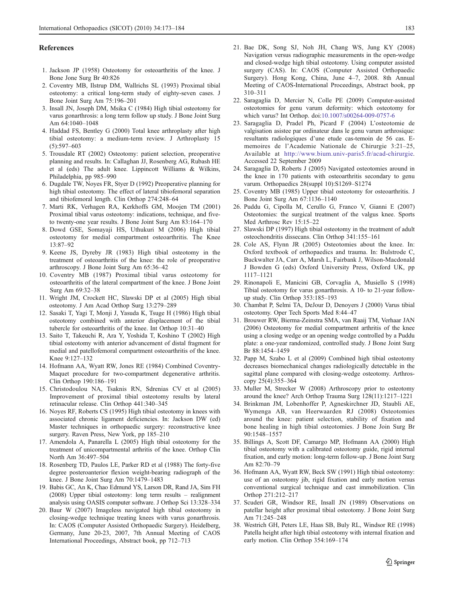#### <span id="page-10-0"></span>References

- 1. Jackson JP (1958) Osteotomy for osteoarthritis of the knee. J Bone Jone Surg Br 40:826
- 2. Coventry MB, Ilstrup DM, Wallrichs SL (1993) Proximal tibial osteotomy: a critical long-term study of eighty-seven cases. J Bone Joint Surg Am 75:196–201
- 3. Insall JN, Joseph DM, Msika C (1984) High tibial osteotomy for varus gonarthrosis: a long term follow up study. J Bone Joint Surg Am 64:1040–1048
- 4. Haddad FS, Bentley G (2000) Total knee arthroplasty after high tibial osteotomy: a medium-term review. J Arthroplasty 15  $(5):597-603$
- 5. Trousdale RT (2002) Osteotomy: patient selection, preoperative planning and results. In: Callaghan JJ, Rosenberg AG, Rubash HE et al (eds) The adult knee. Lippincott Williams & Wilkins, Philadelphia, pp 985–990
- 6. Dugdale TW, Noyes FR, Styer D (1992) Preoperative planning for high tibial osteotomy. The effect of lateral tibiofemoral separation and tibiofemoral length. Clin Orthop 274:248–64
- 7. Marti RK, Verhagen RA, Kerkhoffs GM, Moojen TM (2001) Proximal tibial varus osteotomy: indications, technique, and fiveto twenty-one year results. J Bone Joint Surg Am 83:164–170
- 8. Dowd GSE, Somayaji HS, Uthukuri M (2006) High tibial osteotomy for medial compartment osteoarthritis. The Knee 13:87–92
- 9. Keene JS, Dyreby JR (1983) High tibial osteotomy in the treatment of osteoarthritis of the knee: the role of preoperative arthroscopy. J Bone Joint Surg Am 65:36–42
- 10. Coventry MB (1987) Proximal tibial varus osteotomy for osteoarthritis of the lateral compartment of the knee. J Bone Joint Surg Am 69:32–38
- 11. Wright JM, Crockett HC, Slawski DP et al (2005) High tibial osteotomy. J Am Acad Orthop Surg 13:279–289
- 12. Sasaki T, Yagi T, Monji J, Yasuda K, Tsuge H (1986) High tibial osteotomy combined with anterior displacement of the tibial tubercle for osteoarthritis of the knee. Int Orthop 10:31–40
- 13. Saito T, Takeuchi R, Ara Y, Yoshida T, Koshino T (2002) High tibial osteotomy with anterior advancement of distal fragment for medial and patellofemoral compartment osteoarthritis of the knee. Knee 9:127–132
- 14. Hofmann AA, Wyatt RW, Jones RE (1984) Combined Coventry-Maquet procedure for two-compartment degenerative arthritis. Clin Orthop 190:186–191
- 15. Christodoulou NA, Tsaknis RN, Sdrenias CV et al (2005) Improvement of proximal tibial osteotomy results by lateral retinacular release. Clin Orthop 441:340–345
- 16. Noyes RF, Roberts CS (1995) High tibial osteotomy in knees with associated chronic ligament deficiencies. In: Jackson DW (ed) Master techniques in orthopaedic surgery: reconstructive knee surgery. Raven Press, New York, pp 185–210
- 17. Amendola A, Panarella L (2005) High tibial osteotomy for the treatment of unicompartmental arthritis of the knee. Orthop Clin North Am 36:497–504
- 18. Rosenberg TD, Paulos LE, Parker RD et al (1988) The forty-five degree posteroanterior flexion weight-bearing radiograph of the knee. J Bone Joint Surg Am 70:1479–1483
- 19. Babis GC, An K, Chao Edmund YS, Larson DR, Rand JA, Sim FH (2008) Upper tibial osteotomy: long term results – realignment analysis using OASIS computer software. J Orthop Sci 13:328–334
- 20. Baur W (2007) Imageless navigated high tibial osteotomy in closing-wedge technique treating knees with varus gonarthrosis. In: CAOS (Computer Assisted Orthopaedic Surgery). Heidelberg, Germany, June 20-23, 2007, 7th Annual Meeting of CAOS International Proceedings, Abstract book, pp 712–713
- 21. Bae DK, Song SJ, Noh JH, Chang WS, Jung KY (2008) Navigation versus radiographic measurements in the open-wedge and closed-wedge high tibial osteotomy. Using computer assisted surgery (CAS). In: CAOS (Computer Assisted Orthopaedic Surgery). Hong Kong, China, June 4–7, 2008. 8th Annual Meeting of CAOS-International Proceedings, Abstract book, pp 310–311
- 22. Saragaglia D, Mercier N, Colle PE (2009) Computer-assisted osteotomies for genu varum deformity: which osteotomy for which varus? Int Orthop. doi:[10.1007/s00264-009-0757-6](http://dx.doi.org/10.1007/s00264-009-0757-6)
- 23. Saragaglia D, Pradel Ph, Picard F (2004) L'osteotomie de valgisation asistee par ordinateur dans le genu varum arthrosique: resultants radiologiques d'une etude cas-temoin de 56 cas. Ememoires de l'Academie Nationale de Chirurgie 3:21–25, Available at <http://www.bium.univ-paris5.fr/acad-chirurgie>. Accessed 22 September 2009
- 24. Saragaglia D, Roberts J (2005) Navigated osteotomies around in the knee in 170 patients with osteoarthritis secondary to genu varum. Orthopaedics 28(suppl 10):S1269–S1274
- 25. Coventry MB (1985) Upper tibial osteotomy for osteoarthritis. J Bone Joint Surg Am 67:1136–1140
- 26. Puddu G, Cipolla M, Cerullo G, Franco V, Gianni E (2007) Osteotomies: the surgical treatment of the valgus knee. Sports Med Arthrosc Rev 15:15–22
- 27. Slawski DP (1997) High tibial osteotomy in the treatment of adult osteochondritis dissecans. Clin Orthop 341:155–161
- 28. Cole AS, Flynn JR (2005) Osteotomies about the knee. In: Oxford textbook of orthopaedics and trauma. In: Bulstrode C, Buckwalter JA, Carr A, Marsh L, Fairbank J, Wilson-Macdonald J Bowden G (eds) Oxford University Press, Oxford UK, pp 1117–1121
- 29. Rinonapoli E, Manicini GB, Corvaglia A, Musiello S (1998) Tibial osteotomy for varus gonarthrosis. A 10- to 21-year followup study. Clin Orthop 353:185–193
- 30. Chambat P, Selmi TA, DeJour D, Denoyers J (2000) Varus tibial osteotomy. Oper Tech Sports Med 8:44–47
- 31. Brouwer RW, Bierma-Zeinstra SMA, van Raaij TM, Verhaar JAN (2006) Osteotomy for medial compartment arthritis of the knee using a closing wedge or an opening wedge controlled by a Puddu plate: a one-year randomized, controlled study. J Bone Joint Surg Br 88:1454–1459
- 32. Papp M, Szabo L et al (2009) Combined high tibial osteotomy decreases biomechanical changes radiologically detectable in the sagittal plane compared with closing-wedge osteotomy. Arthroscopy 25(4):355–364
- 33. Muller M, Strecker W (2008) Arthroscopy prior to osteotomy around the knee? Arch Orthop Trauma Surg 128(11):1217–1221
- 34. Brinkman JM, Lobenhoffer P, Agneskirchner JD, Staubli AE, Wymenga AB, van Heerwaarden RJ (2008) Osteotomies around the knee: patient selection, stability of fixation and bone healing in high tibial osteotomies. J Bone Join Surg Br 90:1548–1557
- 35. Billings A, Scott DF, Camargo MP, Hofmann AA (2000) High tibial osteotomy with a calibrated osteotomy guide, rigid internal fixation, and early motion: long-term follow-up. J Bone Joint Surg Am 82:70–79
- 36. Hofmann AA, Wyatt RW, Beck SW (1991) High tibial osteotomy: use of an osteotomy jib, rigid fixation and early motion versus conventional surgical technique and cast immobilization. Clin Orthop 271:212–217
- 37. Scuderi GR, Windsor RE, Insall JN (1989) Observations on patellar height after proximal tibial osteotomy. J Bone Joint Surg Am 71:245–248
- 38. Westrich GH, Peters LE, Haas SB, Buly RL, Windsor RE (1998) Patella height after high tibial osteotomy with internal fixation and early motion. Clin Orthop 354:169–174